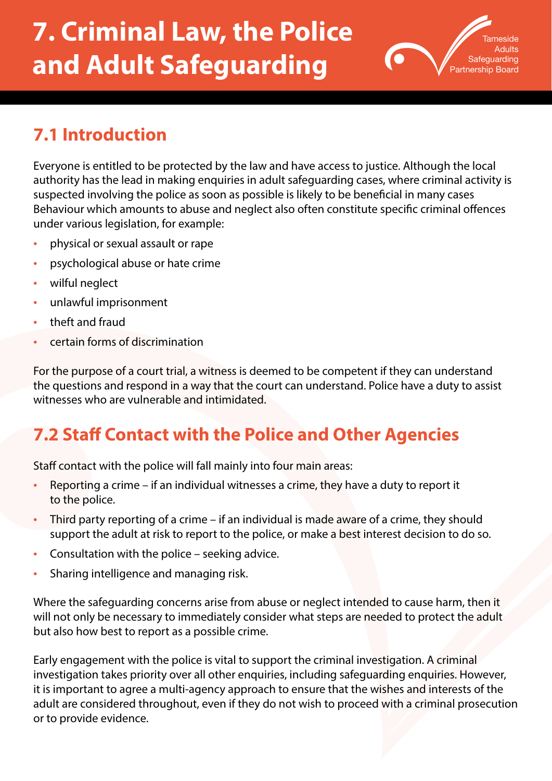# **7. Criminal Law, the Police and Adult Safeguarding**



# **7.1 Introduction**

Everyone is entitled to be protected by the law and have access to justice. Although the local authority has the lead in making enquiries in adult safeguarding cases, where criminal activity is suspected involving the police as soon as possible is likely to be beneficial in many cases Behaviour which amounts to abuse and neglect also often constitute specific criminal offences under various legislation, for example:

- physical or sexual assault or rape
- psychological abuse or hate crime
- wilful neglect
- unlawful imprisonment
- theft and fraud
- certain forms of discrimination

For the purpose of a court trial, a witness is deemed to be competent if they can understand the questions and respond in a way that the court can understand. Police have a duty to assist witnesses who are vulnerable and intimidated.

### **7.2 Staff Contact with the Police and Other Agencies**

Staff contact with the police will fall mainly into four main areas:

- Reporting a crime if an individual witnesses a crime, they have a duty to report it to the police.
- Third party reporting of a crime if an individual is made aware of a crime, they should support the adult at risk to report to the police, or make a best interest decision to do so.
- Consultation with the police seeking advice.
- Sharing intelligence and managing risk.

Where the safeguarding concerns arise from abuse or neglect intended to cause harm, then it will not only be necessary to immediately consider what steps are needed to protect the adult but also how best to report as a possible crime.

Early engagement with the police is vital to support the criminal investigation. A criminal investigation takes priority over all other enquiries, including safeguarding enquiries. However, it is important to agree a multi-agency approach to ensure that the wishes and interests of the adult are considered throughout, even if they do not wish to proceed with a criminal prosecution or to provide evidence.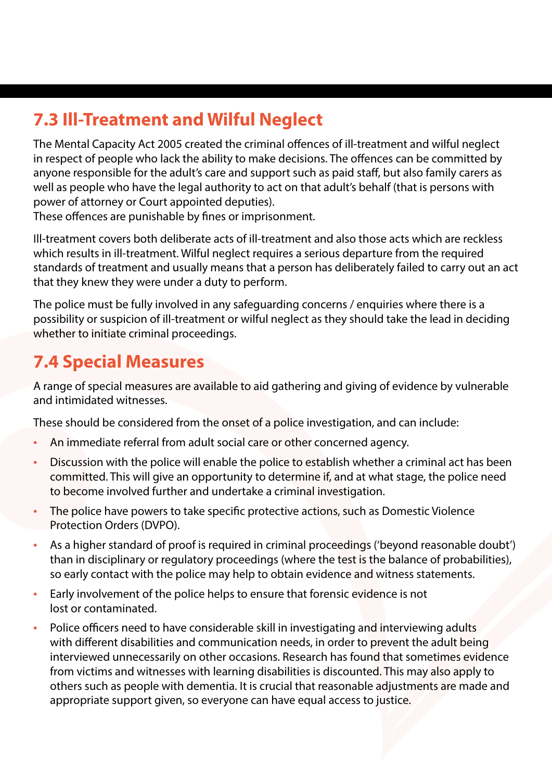# **7.3 Ill-Treatment and Wilful Neglect**

The Mental Capacity Act 2005 created the criminal offences of ill-treatment and wilful neglect in respect of people who lack the ability to make decisions. The offences can be committed by anyone responsible for the adult's care and support such as paid staff, but also family carers as well as people who have the legal authority to act on that adult's behalf (that is persons with power of attorney or Court appointed deputies).

These offences are punishable by fines or imprisonment.

Ill-treatment covers both deliberate acts of ill-treatment and also those acts which are reckless which results in ill-treatment. Wilful neglect requires a serious departure from the required standards of treatment and usually means that a person has deliberately failed to carry out an act that they knew they were under a duty to perform.

The police must be fully involved in any safeguarding concerns / enquiries where there is a possibility or suspicion of ill-treatment or wilful neglect as they should take the lead in deciding whether to initiate criminal proceedings.

#### **7.4 Special Measures**

A range of special measures are available to aid gathering and giving of evidence by vulnerable and intimidated witnesses.

These should be considered from the onset of a police investigation, and can include:

- An immediate referral from adult social care or other concerned agency.
- Discussion with the police will enable the police to establish whether a criminal act has been committed. This will give an opportunity to determine if, and at what stage, the police need to become involved further and undertake a criminal investigation.
- The police have powers to take specific protective actions, such as Domestic Violence Protection Orders (DVPO).
- As a higher standard of proof is required in criminal proceedings ('beyond reasonable doubt') than in disciplinary or regulatory proceedings (where the test is the balance of probabilities), so early contact with the police may help to obtain evidence and witness statements.
- Early involvement of the police helps to ensure that forensic evidence is not lost or contaminated.
- Police officers need to have considerable skill in investigating and interviewing adults with different disabilities and communication needs, in order to prevent the adult being interviewed unnecessarily on other occasions. Research has found that sometimes evidence from victims and witnesses with learning disabilities is discounted. This may also apply to others such as people with dementia. It is crucial that reasonable adjustments are made and appropriate support given, so everyone can have equal access to justice.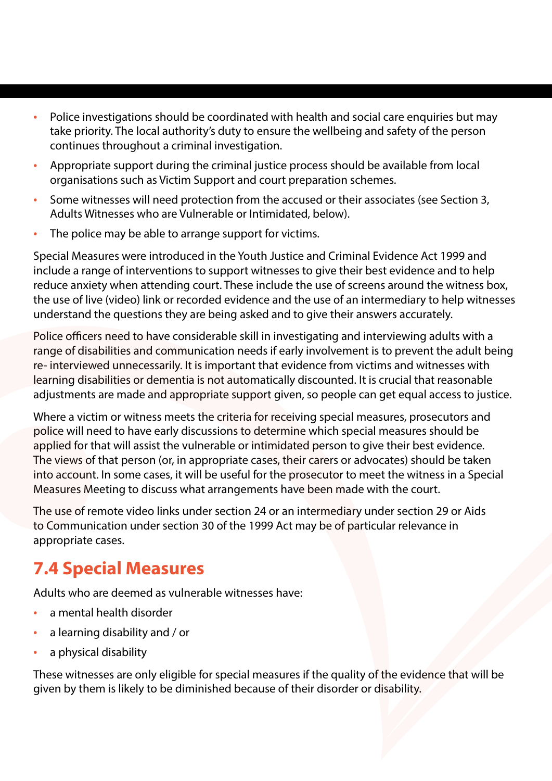- Police investigations should be coordinated with health and social care enquiries but may take priority. The local authority's duty to ensure the wellbeing and safety of the person continues throughout a criminal investigation.
- Appropriate support during the criminal justice process should be available from local organisations such as Victim Support and court preparation schemes.
- Some witnesses will need protection from the accused or their associates (see Section 3, Adults Witnesses who are Vulnerable or Intimidated, below).
- The police may be able to arrange support for victims.

Special Measures were introduced in the Youth Justice and Criminal Evidence Act 1999 and include a range of interventions to support witnesses to give their best evidence and to help reduce anxiety when attending court. These include the use of screens around the witness box, the use of live (video) link or recorded evidence and the use of an intermediary to help witnesses understand the questions they are being asked and to give their answers accurately.

Police officers need to have considerable skill in investigating and interviewing adults with a range of disabilities and communication needs if early involvement is to prevent the adult being re- interviewed unnecessarily. It is important that evidence from victims and witnesses with learning disabilities or dementia is not automatically discounted. It is crucial that reasonable adjustments are made and appropriate support given, so people can get equal access to justice.

Where a victim or witness meets the criteria for receiving special measures, prosecutors and police will need to have early discussions to determine which special measures should be applied for that will assist the vulnerable or intimidated person to give their best evidence. The views of that person (or, in appropriate cases, their carers or advocates) should be taken into account. In some cases, it will be useful for the prosecutor to meet the witness in a Special Measures Meeting to discuss what arrangements have been made with the court.

The use of remote video links under section 24 or an intermediary under section 29 or Aids to Communication under section 30 of the 1999 Act may be of particular relevance in appropriate cases.

### **7.4 Special Measures**

Adults who are deemed as vulnerable witnesses have:

- a mental health disorder
- a learning disability and / or
- a physical disability

These witnesses are only eligible for special measures if the quality of the evidence that will be given by them is likely to be diminished because of their disorder or disability.